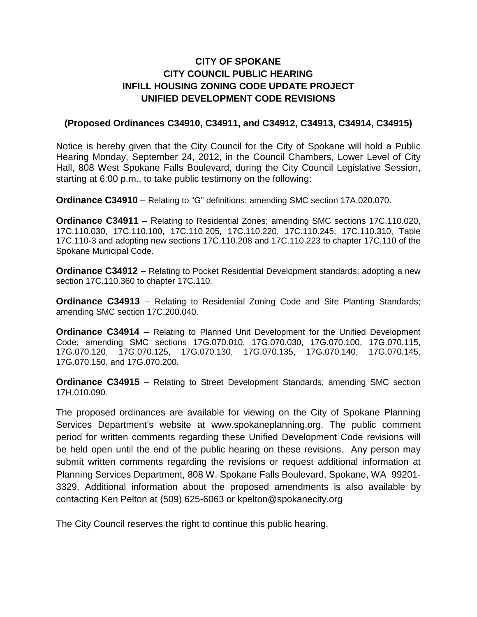## **CITY OF SPOKANE CITY COUNCIL PUBLIC HEARING INFILL HOUSING ZONING CODE UPDATE PROJECT UNIFIED DEVELOPMENT CODE REVISIONS**

## **(Proposed Ordinances C34910, C34911, and C34912, C34913, C34914, C34915)**

Notice is hereby given that the City Council for the City of Spokane will hold a Public Hearing Monday, September 24, 2012, in the Council Chambers, Lower Level of City Hall, 808 West Spokane Falls Boulevard, during the City Council Legislative Session, starting at 6:00 p.m., to take public testimony on the following:

**Ordinance C34910** – Relating to "G" definitions; amending SMC section 17A.020.070.

**Ordinance C34911** – Relating to Residential Zones; amending SMC sections 17C.110.020, 17C.110.030, 17C.110.100, 17C.110.205, 17C.110.220, 17C.110.245, 17C.110.310, Table 17C.110-3 and adopting new sections 17C.110.208 and 17C.110.223 to chapter 17C.110 of the Spokane Municipal Code.

**Ordinance C34912** – Relating to Pocket Residential Development standards; adopting a new section 17C.110.360 to chapter 17C.110.

**Ordinance C34913** – Relating to Residential Zoning Code and Site Planting Standards; amending SMC section 17C.200.040.

**Ordinance C34914** – Relating to Planned Unit Development for the Unified Development Code; amending SMC sections 17G.070.010, 17G.070.030, 17G.070.100, 17G.070.115, 17G.070.120, 17G.070.125, 17G.070.130, 17G.070.135, 17G.070.140, 17G.070.145, 17G.070.150, and 17G.070.200.

**Ordinance C34915** – Relating to Street Development Standards; amending SMC section 17H.010.090.

The proposed ordinances are available for viewing on the City of Spokane Planning Services Department's website at www.spokaneplanning.org. The public comment period for written comments regarding these Unified Development Code revisions will be held open until the end of the public hearing on these revisions. Any person may submit written comments regarding the revisions or request additional information at Planning Services Department, 808 W. Spokane Falls Boulevard, Spokane, WA 99201- 3329. Additional information about the proposed amendments is also available by contacting Ken Pelton at (509) 625-6063 or kpelton@spokanecity.org

The City Council reserves the right to continue this public hearing.